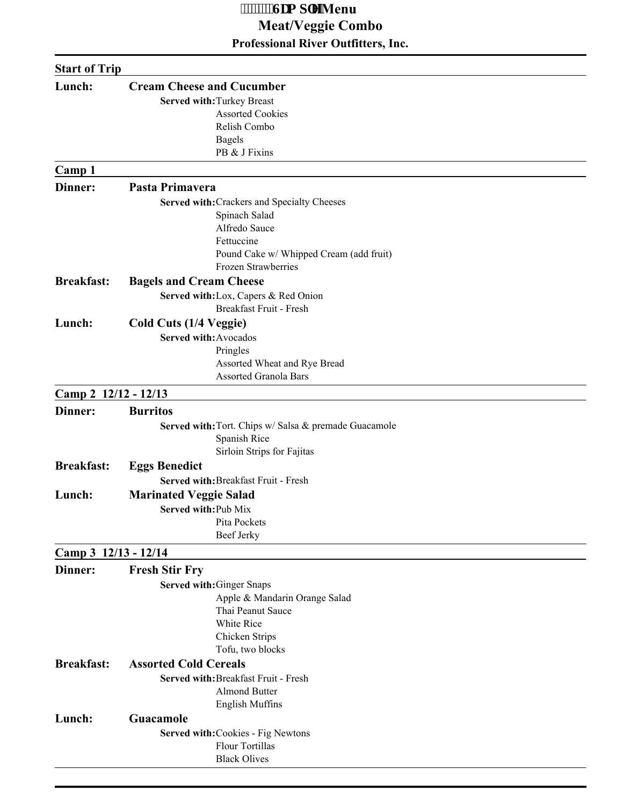### **Professional River Outfitters, Inc. b** *m***Wenu Meat/Veggie Combo**

| <b>Start of Trip</b> |                                                       |
|----------------------|-------------------------------------------------------|
| Lunch:               | <b>Cream Cheese and Cucumber</b>                      |
|                      | Served with: Turkey Breast                            |
|                      | <b>Assorted Cookies</b>                               |
|                      | Relish Combo                                          |
|                      | <b>Bagels</b>                                         |
|                      | PB & J Fixins                                         |
| Camp 1               |                                                       |
| <b>Dinner:</b>       | Pasta Primavera                                       |
|                      | Served with: Crackers and Specialty Cheeses           |
|                      | Spinach Salad                                         |
|                      | Alfredo Sauce                                         |
|                      | Fettuccine                                            |
|                      | Pound Cake w/ Whipped Cream (add fruit)               |
|                      | Frozen Strawberries                                   |
| <b>Breakfast:</b>    | <b>Bagels and Cream Cheese</b>                        |
|                      | Served with: Lox, Capers & Red Onion                  |
|                      | Breakfast Fruit - Fresh                               |
| Lunch:               | Cold Cuts (1/4 Veggie)                                |
|                      | Served with: Avocados                                 |
|                      | Pringles                                              |
|                      | Assorted Wheat and Rye Bread                          |
|                      | <b>Assorted Granola Bars</b>                          |
| Camp 2 12/12 - 12/13 |                                                       |
| Dinner:              | <b>Burritos</b>                                       |
|                      | Served with: Tort. Chips w/ Salsa & premade Guacamole |
|                      | Spanish Rice                                          |
|                      | Sirloin Strips for Fajitas                            |
| <b>Breakfast:</b>    | <b>Eggs Benedict</b>                                  |
|                      | Served with: Breakfast Fruit - Fresh                  |
| Lunch:               | <b>Marinated Veggie Salad</b>                         |
|                      |                                                       |
|                      | Served with: Pub Mix<br>Pita Pockets                  |
|                      | Beef Jerky                                            |
| Camp 3 12/13 - 12/14 |                                                       |
| Dinner:              | <b>Fresh Stir Fry</b>                                 |
|                      |                                                       |
|                      | Served with: Ginger Snaps                             |
|                      | Apple & Mandarin Orange Salad<br>Thai Peanut Sauce    |
|                      | White Rice                                            |
|                      | Chicken Strips                                        |
|                      | Tofu, two blocks                                      |
| <b>Breakfast:</b>    | <b>Assorted Cold Cereals</b>                          |
|                      | Served with: Breakfast Fruit - Fresh                  |
|                      | <b>Almond Butter</b>                                  |
|                      | <b>English Muffins</b>                                |
|                      | Guacamole                                             |
| Lunch:               |                                                       |
|                      | Served with: Cookies - Fig Newtons<br>Flour Tortillas |
|                      | <b>Black Olives</b>                                   |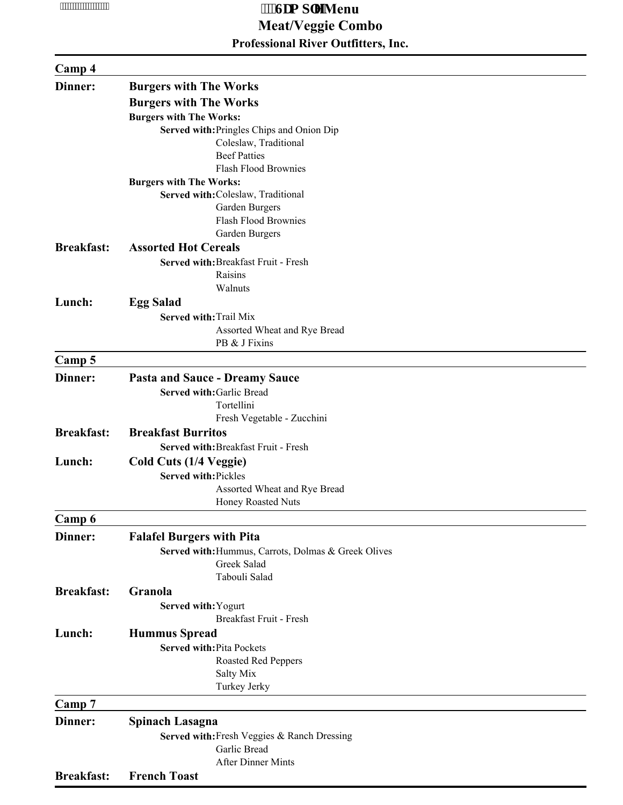# **Professional River Outfitters, Inc. Fig. 2.1. 6. In the case of the case of the case of the case of the case of the case of the case of the case of the case of the case of the case of the case of the case of the case of the case of the case of the case of Meat/Veggie Combo**

### **Camp 4**

| <b>Burgers with The Works</b>                       |
|-----------------------------------------------------|
| <b>Burgers with The Works</b>                       |
| <b>Burgers with The Works:</b>                      |
| Served with: Pringles Chips and Onion Dip           |
| Coleslaw, Traditional                               |
| <b>Beef Patties</b>                                 |
| <b>Flash Flood Brownies</b>                         |
| <b>Burgers with The Works:</b>                      |
| Served with: Coleslaw, Traditional                  |
| Garden Burgers                                      |
| Flash Flood Brownies                                |
| Garden Burgers                                      |
| <b>Assorted Hot Cereals</b>                         |
| Served with: Breakfast Fruit - Fresh                |
| Raisins                                             |
| Walnuts                                             |
| <b>Egg Salad</b>                                    |
| Served with: Trail Mix                              |
| Assorted Wheat and Rye Bread                        |
| PB & J Fixins                                       |
|                                                     |
|                                                     |
| <b>Pasta and Sauce - Dreamy Sauce</b>               |
| Served with: Garlic Bread                           |
| Tortellini                                          |
| Fresh Vegetable - Zucchini                          |
| <b>Breakfast Burritos</b>                           |
| Served with: Breakfast Fruit - Fresh                |
| Cold Cuts (1/4 Veggie)                              |
| Served with: Pickles                                |
| Assorted Wheat and Rye Bread                        |
| Honey Roasted Nuts                                  |
|                                                     |
| <b>Falafel Burgers with Pita</b>                    |
| Served with: Hummus, Carrots, Dolmas & Greek Olives |
| Greek Salad                                         |
| Tabouli Salad                                       |
| Granola                                             |
| Served with: Yogurt                                 |
| Breakfast Fruit - Fresh                             |
| <b>Hummus Spread</b>                                |
|                                                     |
| <b>Served with: Pita Pockets</b>                    |
| <b>Roasted Red Peppers</b>                          |
| Salty Mix<br>Turkey Jerky                           |
|                                                     |
|                                                     |
| Spinach Lasagna                                     |
| Served with: Fresh Veggies & Ranch Dressing         |
| Garlic Bread                                        |
| After Dinner Mints                                  |
|                                                     |

#### **Breakfast: French Toast**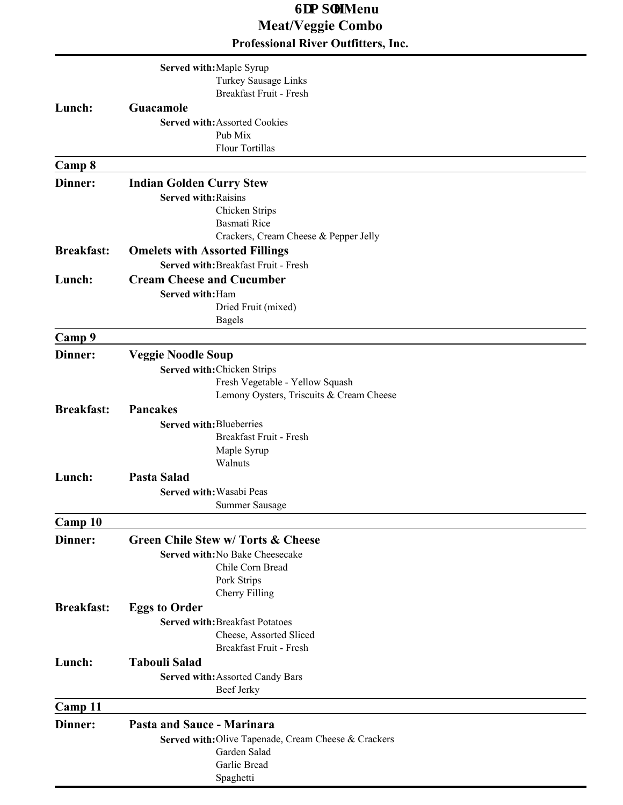## **Professional River Outfitters, Inc. 6DPSOHMenu Meat/Veggie Combo**

|                   | Served with: Maple Syrup                                             |
|-------------------|----------------------------------------------------------------------|
|                   | Turkey Sausage Links                                                 |
|                   | Breakfast Fruit - Fresh                                              |
| Lunch:            | Guacamole                                                            |
|                   | <b>Served with: Assorted Cookies</b>                                 |
|                   | Pub Mix                                                              |
|                   | <b>Flour Tortillas</b>                                               |
| Camp 8            |                                                                      |
| Dinner:           | <b>Indian Golden Curry Stew</b>                                      |
|                   | <b>Served with: Raisins</b>                                          |
|                   | Chicken Strips                                                       |
|                   | Basmati Rice                                                         |
|                   | Crackers, Cream Cheese & Pepper Jelly                                |
| <b>Breakfast:</b> | <b>Omelets with Assorted Fillings</b>                                |
|                   | Served with: Breakfast Fruit - Fresh                                 |
| Lunch:            | <b>Cream Cheese and Cucumber</b>                                     |
|                   | Served with: Ham                                                     |
|                   | Dried Fruit (mixed)                                                  |
|                   | <b>Bagels</b>                                                        |
| Camp 9            |                                                                      |
| Dinner:           | <b>Veggie Noodle Soup</b>                                            |
|                   | Served with: Chicken Strips                                          |
|                   | Fresh Vegetable - Yellow Squash                                      |
| <b>Breakfast:</b> | Lemony Oysters, Triscuits & Cream Cheese<br>Pancakes                 |
|                   | Served with: Blueberries                                             |
|                   | Breakfast Fruit - Fresh                                              |
|                   | Maple Syrup                                                          |
|                   | Walnuts                                                              |
| Lunch:            | <b>Pasta Salad</b>                                                   |
|                   | Served with: Wasabi Peas                                             |
|                   | Summer Sausage                                                       |
| Camp 10           |                                                                      |
| Dinner:           | <b>Green Chile Stew w/ Torts &amp; Cheese</b>                        |
|                   | Served with: No Bake Cheesecake                                      |
|                   | Chile Corn Bread                                                     |
|                   | Pork Strips                                                          |
|                   | Cherry Filling                                                       |
| <b>Breakfast:</b> | <b>Eggs to Order</b>                                                 |
|                   | <b>Served with: Breakfast Potatoes</b>                               |
|                   | Cheese, Assorted Sliced<br>Breakfast Fruit - Fresh                   |
| Lunch:            | <b>Tabouli Salad</b>                                                 |
|                   |                                                                      |
|                   | Served with: Assorted Candy Bars<br>Beef Jerky                       |
|                   |                                                                      |
| Camp 11           |                                                                      |
| Dinner:           | <b>Pasta and Sauce - Marinara</b>                                    |
|                   | Served with: Olive Tapenade, Cream Cheese & Crackers<br>Garden Salad |
|                   | Garlic Bread                                                         |
|                   | Spaghetti                                                            |
|                   |                                                                      |